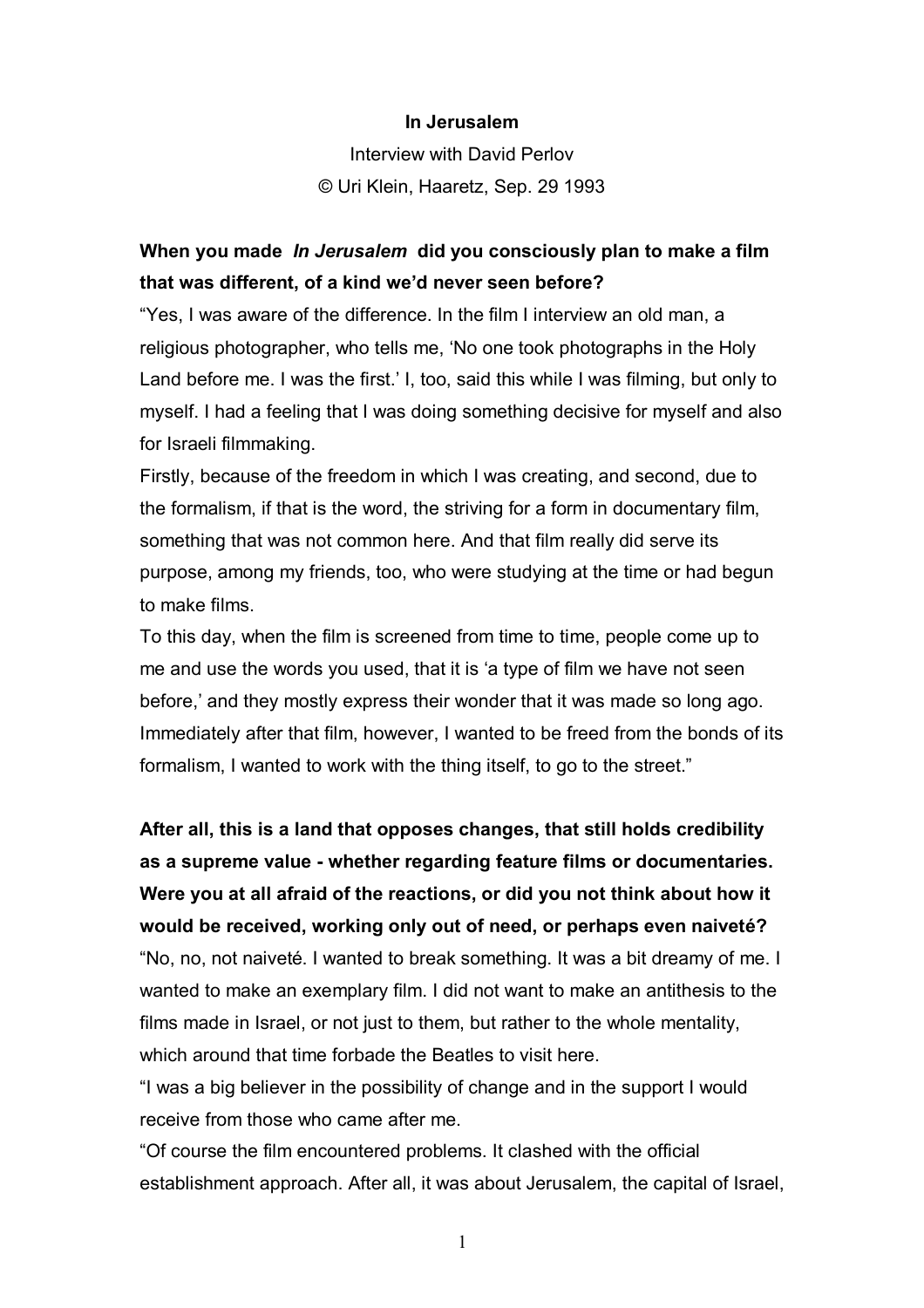## **In Jerusalem**

Interview with David Perlov © Uri Klein, Haaretz, Sep. 29 1993

## **When you made** *In Jerusalem* **did you consciously plan to make a film that was different, of a kind we'd never seen before?**

"Yes, I was aware of the difference. In the film I interview an old man, a religious photographer, who tells me, 'No one took photographs in the Holy Land before me. I was the first.' I, too, said this while I was filming, but only to myself. I had a feeling that I was doing something decisive for myself and also for Israeli filmmaking.

Firstly, because of the freedom in which I was creating, and second, due to the formalism, if that is the word, the striving for a form in documentary film, something that was not common here. And that film really did serve its purpose, among my friends, too, who were studying at the time or had begun to make films.

To this day, when the film is screened from time to time, people come up to me and use the words you used, that it is 'a type of film we have not seen before,' and they mostly express their wonder that it was made so long ago. Immediately after that film, however, I wanted to be freed from the bonds of its formalism, I wanted to work with the thing itself, to go to the street."

**After all, this is a land that opposes changes, that still holds credibility as a supreme value - whether regarding feature films or documentaries. Were you at all afraid of the reactions, or did you not think about how it would be received, working only out of need, or perhaps even naiveté?**  "No, no, not naiveté. I wanted to break something. It was a bit dreamy of me. I wanted to make an exemplary film. I did not want to make an antithesis to the films made in Israel, or not just to them, but rather to the whole mentality, which around that time forbade the Beatles to visit here.

"I was a big believer in the possibility of change and in the support I would receive from those who came after me.

"Of course the film encountered problems. It clashed with the official establishment approach. After all, it was about Jerusalem, the capital of Israel,

1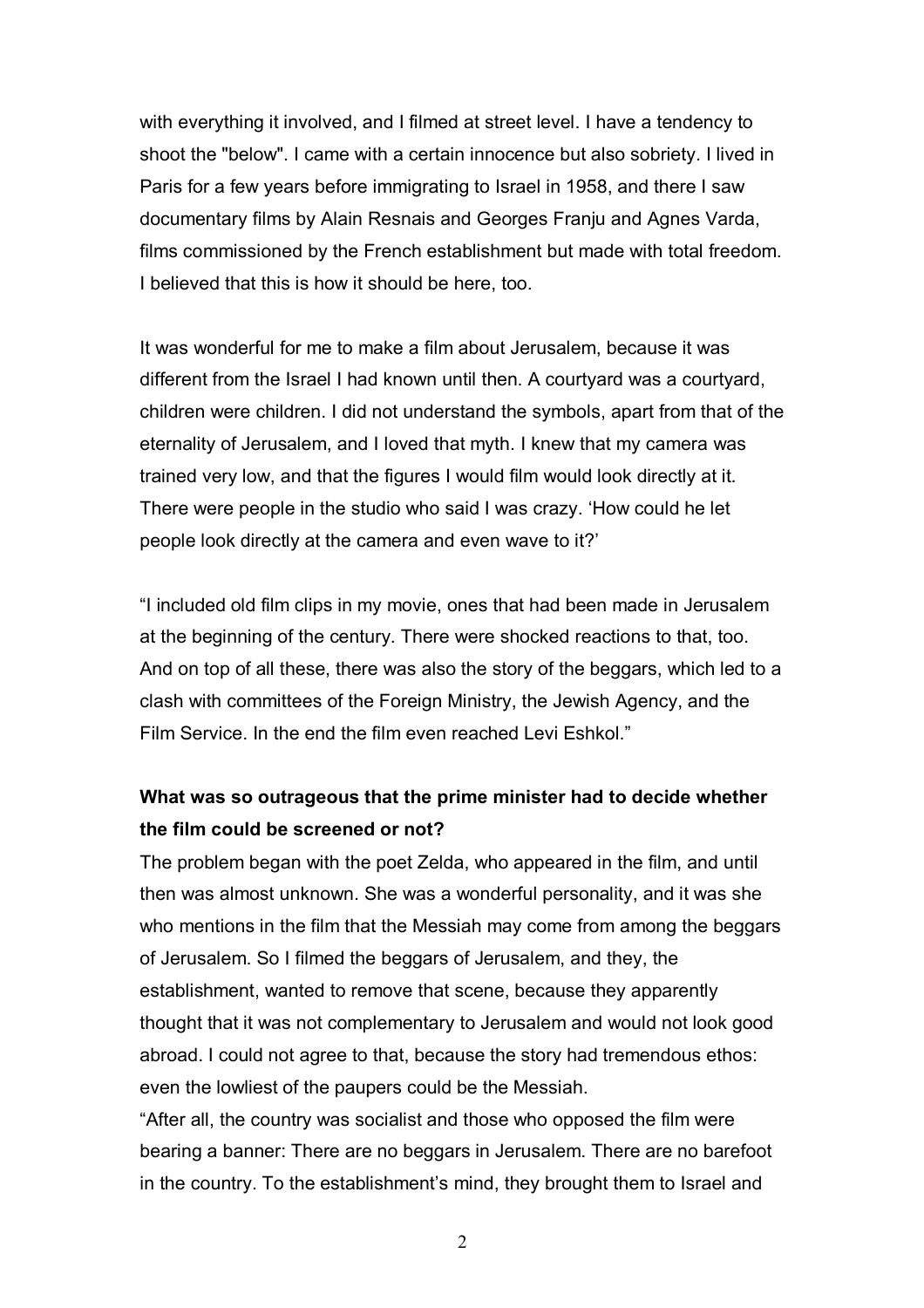with everything it involved, and I filmed at street level. I have a tendency to shoot the "below". I came with a certain innocence but also sobriety. I lived in Paris for a few years before immigrating to Israel in 1958, and there I saw documentary films by Alain Resnais and Georges Franju and Agnes Varda, films commissioned by the French establishment but made with total freedom. I believed that this is how it should be here, too.

It was wonderful for me to make a film about Jerusalem, because it was different from the Israel I had known until then. A courtyard was a courtyard, children were children. I did not understand the symbols, apart from that of the eternality of Jerusalem, and I loved that myth. I knew that my camera was trained very low, and that the figures I would film would look directly at it. There were people in the studio who said I was crazy. 'How could he let people look directly at the camera and even wave to it?'

"I included old film clips in my movie, ones that had been made in Jerusalem at the beginning of the century. There were shocked reactions to that, too. And on top of all these, there was also the story of the beggars, which led to a clash with committees of the Foreign Ministry, the Jewish Agency, and the Film Service. In the end the film even reached Levi Eshkol."

## **What was so outrageous that the prime minister had to decide whether the film could be screened or not?**

The problem began with the poet Zelda, who appeared in the film, and until then was almost unknown. She was a wonderful personality, and it was she who mentions in the film that the Messiah may come from among the beggars of Jerusalem. So I filmed the beggars of Jerusalem, and they, the establishment, wanted to remove that scene, because they apparently thought that it was not complementary to Jerusalem and would not look good abroad. I could not agree to that, because the story had tremendous ethos: even the lowliest of the paupers could be the Messiah.

"After all, the country was socialist and those who opposed the film were bearing a banner: There are no beggars in Jerusalem. There are no barefoot in the country. To the establishment's mind, they brought them to Israel and